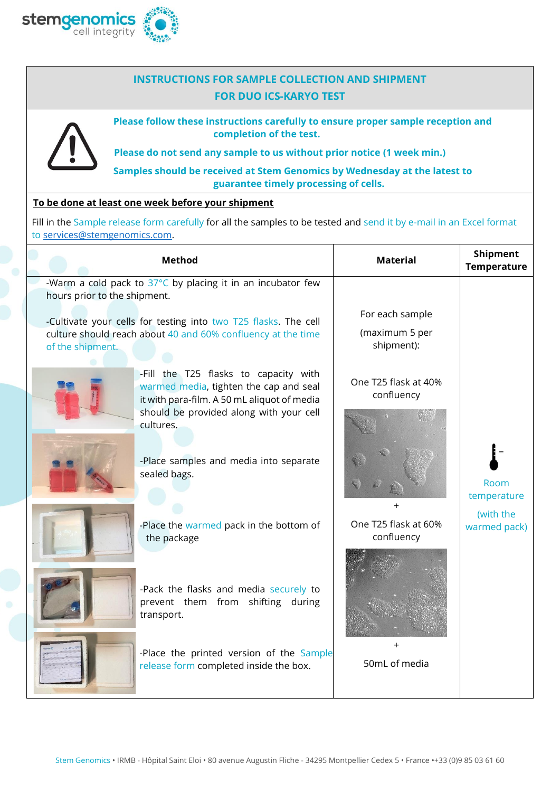